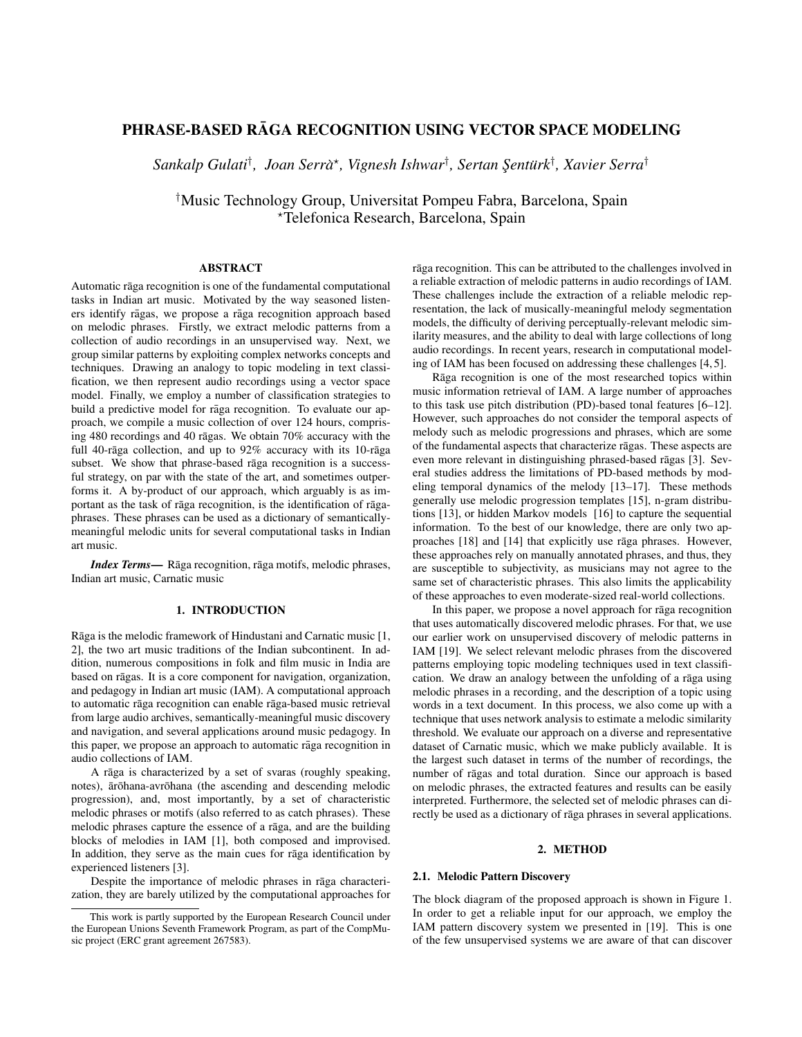# PHRASE-BASED RĀGA RECOGNITION USING VECTOR SPACE MODELING

 $S$ ankalp Gulati<sup>†</sup>, Joan Serrà\*, Vignesh Ishwar<sup>†</sup>, Sertan Şentürk<sup>†</sup>, Xavier Serra<sup>†</sup>

†Music Technology Group, Universitat Pompeu Fabra, Barcelona, Spain ?Telefonica Research, Barcelona, Spain

# ABSTRACT

Automatic rāga recognition is one of the fundamental computational tasks in Indian art music. Motivated by the way seasoned listeners identify rāgas, we propose a rāga recognition approach based on melodic phrases. Firstly, we extract melodic patterns from a collection of audio recordings in an unsupervised way. Next, we group similar patterns by exploiting complex networks concepts and techniques. Drawing an analogy to topic modeling in text classification, we then represent audio recordings using a vector space model. Finally, we employ a number of classification strategies to build a predictive model for rāga recognition. To evaluate our approach, we compile a music collection of over 124 hours, comprising 480 recordings and 40 ragas. We obtain  $70\%$  accuracy with the full 40-raga collection, and up to  $92\%$  accuracy with its 10-raga subset. We show that phrase-based raga recognition is a successful strategy, on par with the state of the art, and sometimes outperforms it. A by-product of our approach, which arguably is as important as the task of rāga recognition, is the identification of rāgaphrases. These phrases can be used as a dictionary of semanticallymeaningful melodic units for several computational tasks in Indian art music.

*Index Terms*— Rāga recognition, rāga motifs, melodic phrases, Indian art music, Carnatic music

# 1. INTRODUCTION

Rāga is the melodic framework of Hindustani and Carnatic music [1, 2], the two art music traditions of the Indian subcontinent. In addition, numerous compositions in folk and film music in India are based on rāgas. It is a core component for navigation, organization, and pedagogy in Indian art music (IAM). A computational approach to automatic rāga recognition can enable rāga-based music retrieval from large audio archives, semantically-meaningful music discovery and navigation, and several applications around music pedagogy. In this paper, we propose an approach to automatic raga recognition in audio collections of IAM.

A rāga is characterized by a set of svaras (roughly speaking, notes), ārōhana-avrōhana (the ascending and descending melodic progression), and, most importantly, by a set of characteristic melodic phrases or motifs (also referred to as catch phrases). These melodic phrases capture the essence of a raga, and are the building blocks of melodies in IAM [1], both composed and improvised. In addition, they serve as the main cues for raga identification by experienced listeners [3].

Despite the importance of melodic phrases in raga characterization, they are barely utilized by the computational approaches for rāga recognition. This can be attributed to the challenges involved in a reliable extraction of melodic patterns in audio recordings of IAM. These challenges include the extraction of a reliable melodic representation, the lack of musically-meaningful melody segmentation models, the difficulty of deriving perceptually-relevant melodic similarity measures, and the ability to deal with large collections of long audio recordings. In recent years, research in computational modeling of IAM has been focused on addressing these challenges [4, 5].

Rāga recognition is one of the most researched topics within music information retrieval of IAM. A large number of approaches to this task use pitch distribution (PD)-based tonal features [6–12]. However, such approaches do not consider the temporal aspects of melody such as melodic progressions and phrases, which are some of the fundamental aspects that characterize ragas. These aspects are even more relevant in distinguishing phrased-based ragas [3]. Several studies address the limitations of PD-based methods by modeling temporal dynamics of the melody [13–17]. These methods generally use melodic progression templates [15], n-gram distributions [13], or hidden Markov models [16] to capture the sequential information. To the best of our knowledge, there are only two approaches  $[18]$  and  $[14]$  that explicitly use raga phrases. However, these approaches rely on manually annotated phrases, and thus, they are susceptible to subjectivity, as musicians may not agree to the same set of characteristic phrases. This also limits the applicability of these approaches to even moderate-sized real-world collections.

In this paper, we propose a novel approach for rāga recognition that uses automatically discovered melodic phrases. For that, we use our earlier work on unsupervised discovery of melodic patterns in IAM [19]. We select relevant melodic phrases from the discovered patterns employing topic modeling techniques used in text classification. We draw an analogy between the unfolding of a raga using melodic phrases in a recording, and the description of a topic using words in a text document. In this process, we also come up with a technique that uses network analysis to estimate a melodic similarity threshold. We evaluate our approach on a diverse and representative dataset of Carnatic music, which we make publicly available. It is the largest such dataset in terms of the number of recordings, the number of rāgas and total duration. Since our approach is based on melodic phrases, the extracted features and results can be easily interpreted. Furthermore, the selected set of melodic phrases can directly be used as a dictionary of rāga phrases in several applications.

#### 2. METHOD

## 2.1. Melodic Pattern Discovery

The block diagram of the proposed approach is shown in Figure 1. In order to get a reliable input for our approach, we employ the IAM pattern discovery system we presented in [19]. This is one of the few unsupervised systems we are aware of that can discover

This work is partly supported by the European Research Council under the European Unions Seventh Framework Program, as part of the CompMusic project (ERC grant agreement 267583).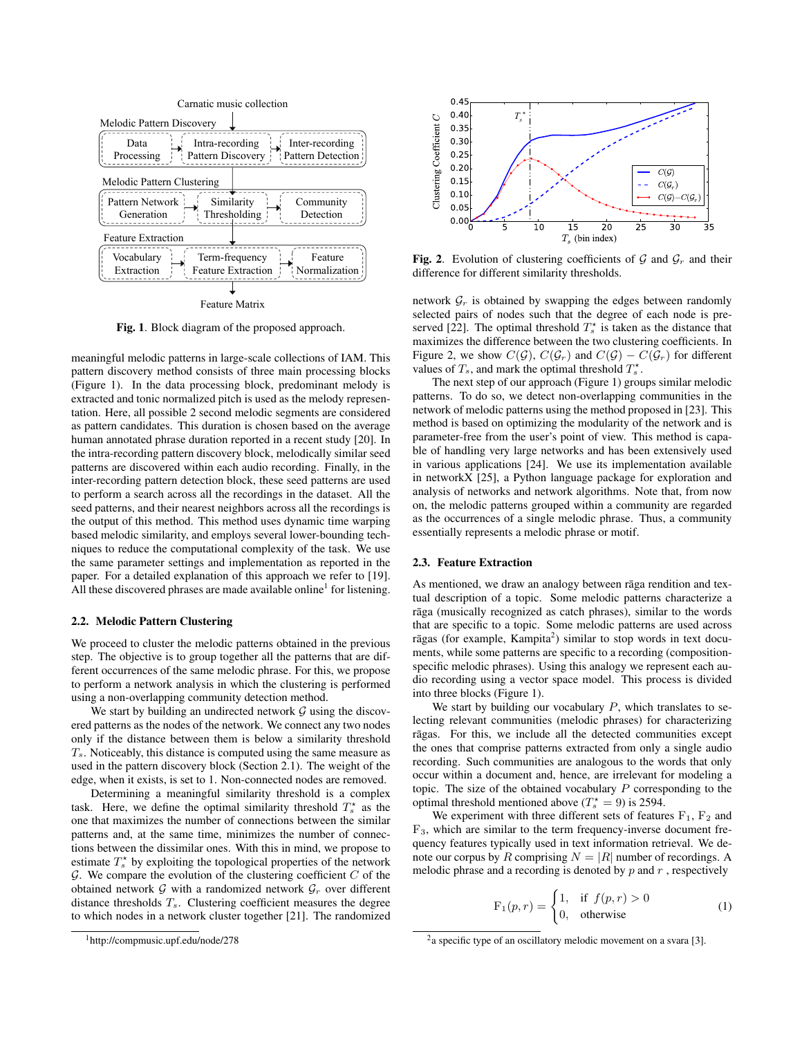

Fig. 1. Block diagram of the proposed approach.

meaningful melodic patterns in large-scale collections of IAM. This pattern discovery method consists of three main processing blocks (Figure 1). In the data processing block, predominant melody is extracted and tonic normalized pitch is used as the melody representation. Here, all possible 2 second melodic segments are considered as pattern candidates. This duration is chosen based on the average human annotated phrase duration reported in a recent study [20]. In the intra-recording pattern discovery block, melodically similar seed patterns are discovered within each audio recording. Finally, in the inter-recording pattern detection block, these seed patterns are used to perform a search across all the recordings in the dataset. All the seed patterns, and their nearest neighbors across all the recordings is the output of this method. This method uses dynamic time warping based melodic similarity, and employs several lower-bounding techniques to reduce the computational complexity of the task. We use the same parameter settings and implementation as reported in the paper. For a detailed explanation of this approach we refer to [19]. All these discovered phrases are made available online<sup>1</sup> for listening.

#### 2.2. Melodic Pattern Clustering

We proceed to cluster the melodic patterns obtained in the previous step. The objective is to group together all the patterns that are different occurrences of the same melodic phrase. For this, we propose to perform a network analysis in which the clustering is performed using a non-overlapping community detection method.

We start by building an undirected network  $G$  using the discovered patterns as the nodes of the network. We connect any two nodes only if the distance between them is below a similarity threshold  $T<sub>s</sub>$ . Noticeably, this distance is computed using the same measure as used in the pattern discovery block (Section 2.1). The weight of the edge, when it exists, is set to 1. Non-connected nodes are removed.

Determining a meaningful similarity threshold is a complex task. Here, we define the optimal similarity threshold  $T_s^*$  as the one that maximizes the number of connections between the similar patterns and, at the same time, minimizes the number of connections between the dissimilar ones. With this in mind, we propose to estimate  $T_s^*$  by exploiting the topological properties of the network  $G$ . We compare the evolution of the clustering coefficient  $C$  of the obtained network  $G$  with a randomized network  $G_r$  over different distance thresholds  $T_s$ . Clustering coefficient measures the degree to which nodes in a network cluster together [21]. The randomized





**Fig. 2.** Evolution of clustering coefficients of  $\mathcal{G}$  and  $\mathcal{G}_r$  and their difference for different similarity thresholds.

network  $\mathcal{G}_r$  is obtained by swapping the edges between randomly selected pairs of nodes such that the degree of each node is preserved [22]. The optimal threshold  $T_s^*$  is taken as the distance that maximizes the difference between the two clustering coefficients. In Figure 2, we show  $C(\mathcal{G})$ ,  $C(\mathcal{G}_r)$  and  $C(\mathcal{G}) - C(\mathcal{G}_r)$  for different values of  $T_s$ , and mark the optimal threshold  $T_s^*$ .

The next step of our approach (Figure 1) groups similar melodic patterns. To do so, we detect non-overlapping communities in the network of melodic patterns using the method proposed in [23]. This method is based on optimizing the modularity of the network and is parameter-free from the user's point of view. This method is capable of handling very large networks and has been extensively used in various applications [24]. We use its implementation available in networkX [25], a Python language package for exploration and analysis of networks and network algorithms. Note that, from now on, the melodic patterns grouped within a community are regarded as the occurrences of a single melodic phrase. Thus, a community essentially represents a melodic phrase or motif.

## 2.3. Feature Extraction

As mentioned, we draw an analogy between raga rendition and textual description of a topic. Some melodic patterns characterize a rāga (musically recognized as catch phrases), similar to the words that are specific to a topic. Some melodic patterns are used across rāgas (for example, Kampita<sup>2</sup>) similar to stop words in text documents, while some patterns are specific to a recording (compositionspecific melodic phrases). Using this analogy we represent each audio recording using a vector space model. This process is divided into three blocks (Figure 1).

We start by building our vocabulary  $P$ , which translates to selecting relevant communities (melodic phrases) for characterizing rāgas. For this, we include all the detected communities except the ones that comprise patterns extracted from only a single audio recording. Such communities are analogous to the words that only occur within a document and, hence, are irrelevant for modeling a topic. The size of the obtained vocabulary  $P$  corresponding to the optimal threshold mentioned above ( $T_s^* = 9$ ) is 2594.

We experiment with three different sets of features  $F_1$ ,  $F_2$  and F3, which are similar to the term frequency-inverse document frequency features typically used in text information retrieval. We denote our corpus by R comprising  $N = |R|$  number of recordings. A melodic phrase and a recording is denoted by  $p$  and  $r$ , respectively

$$
\mathcal{F}_1(p,r) = \begin{cases} 1, & \text{if } f(p,r) > 0 \\ 0, & \text{otherwise} \end{cases}
$$
 (1)

<sup>&</sup>lt;sup>2</sup>a specific type of an oscillatory melodic movement on a svara [3].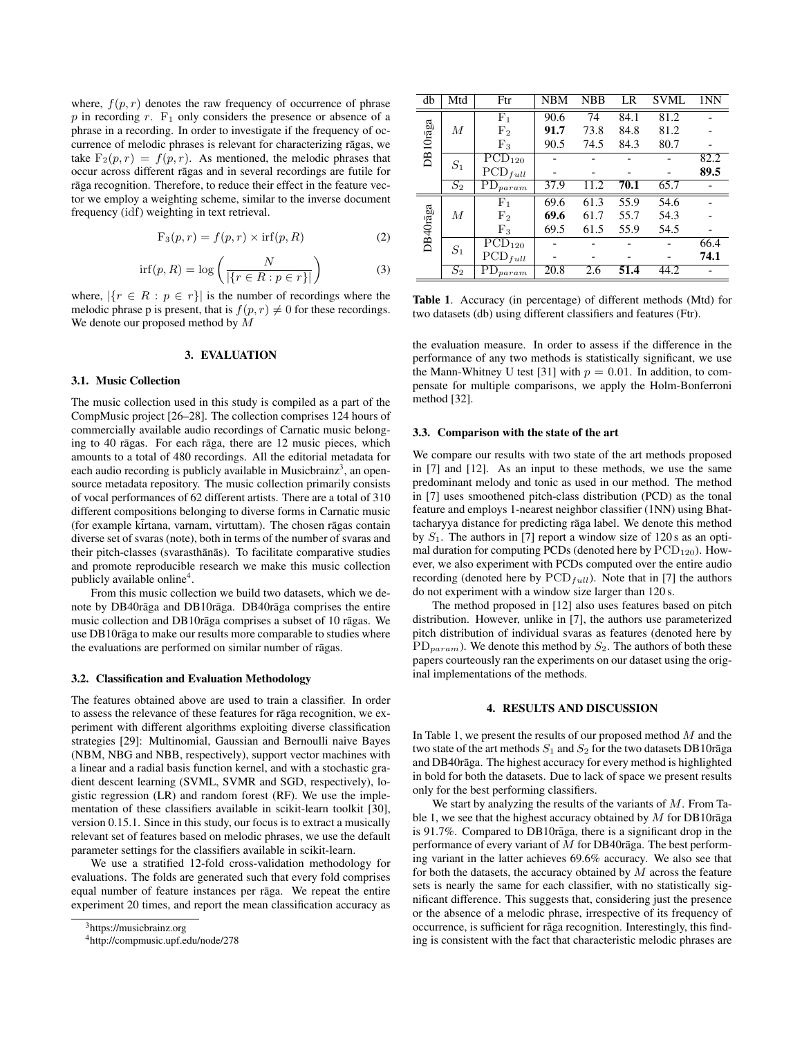where,  $f(p, r)$  denotes the raw frequency of occurrence of phrase  $p$  in recording r.  $F_1$  only considers the presence or absence of a phrase in a recording. In order to investigate if the frequency of occurrence of melodic phrases is relevant for characterizing rāgas, we take  $F_2(p,r) = f(p,r)$ . As mentioned, the melodic phrases that occur across different rāgas and in several recordings are futile for rāga recognition. Therefore, to reduce their effect in the feature vector we employ a weighting scheme, similar to the inverse document frequency (idf) weighting in text retrieval.

$$
F_3(p,r) = f(p,r) \times \text{irf}(p,R)
$$
 (2)

$$
\inf(p, R) = \log\left(\frac{N}{|\{r \in R : p \in r\}|}\right) \tag{3}
$$

where,  $|\{r \in R : p \in r\}|$  is the number of recordings where the melodic phrase p is present, that is  $f(p, r) \neq 0$  for these recordings. We denote our proposed method by M

## 3. EVALUATION

## 3.1. Music Collection

The music collection used in this study is compiled as a part of the CompMusic project [26–28]. The collection comprises 124 hours of commercially available audio recordings of Carnatic music belonging to 40 rāgas. For each rāga, there are  $12$  music pieces, which amounts to a total of 480 recordings. All the editorial metadata for each audio recording is publicly available in Musicbrainz<sup>3</sup>, an opensource metadata repository. The music collection primarily consists of vocal performances of 62 different artists. There are a total of 310 different compositions belonging to diverse forms in Carnatic music (for example kirtana, varnam, virtuttam). The chosen rāgas contain diverse set of svaras (note), both in terms of the number of svaras and their pitch-classes (svarasthānās). To facilitate comparative studies and promote reproducible research we make this music collection publicly available online<sup>4</sup>.

From this music collection we build two datasets, which we denote by DB40raga and DB10raga. DB40raga comprises the entire music collection and DB10raga comprises a subset of 10 ragas. We use DB10raga to make our results more comparable to studies where the evaluations are performed on similar number of rāgas.

## 3.2. Classification and Evaluation Methodology

The features obtained above are used to train a classifier. In order to assess the relevance of these features for raga recognition, we experiment with different algorithms exploiting diverse classification strategies [29]: Multinomial, Gaussian and Bernoulli naive Bayes (NBM, NBG and NBB, respectively), support vector machines with a linear and a radial basis function kernel, and with a stochastic gradient descent learning (SVML, SVMR and SGD, respectively), logistic regression (LR) and random forest (RF). We use the implementation of these classifiers available in scikit-learn toolkit [30], version 0.15.1. Since in this study, our focus is to extract a musically relevant set of features based on melodic phrases, we use the default parameter settings for the classifiers available in scikit-learn.

We use a stratified 12-fold cross-validation methodology for evaluations. The folds are generated such that every fold comprises equal number of feature instances per raga. We repeat the entire experiment 20 times, and report the mean classification accuracy as

| db       | Mtd   | Ftr                             | <b>NBM</b> | <b>NBB</b> | LR   | <b>SVML</b> | 1NN  |
|----------|-------|---------------------------------|------------|------------|------|-------------|------|
| DB10rāga | М     | F <sub>1</sub>                  | 90.6       | 74         | 84.1 | 81.2        |      |
|          |       | F <sub>2</sub>                  | 91.7       | 73.8       | 84.8 | 81.2        |      |
|          |       | ${\rm F}_3$                     | 90.5       | 74.5       | 84.3 | 80.7        |      |
|          | $S_1$ | $\overline{\mathrm{PCD}}_{120}$ |            |            |      |             | 82.2 |
|          |       | $PCD_{full}$                    |            |            |      |             | 89.5 |
|          | $S_2$ | $\overline{PD}_{param}$         | 37.9       | 11.2       | 70.1 | 65.7        |      |
| DB40rāga | М     | $_{\rm F_1}$                    | 69.6       | 61.3       | 55.9 | 54.6        |      |
|          |       | F <sub>2</sub>                  | 69.6       | 61.7       | 55.7 | 54.3        |      |
|          |       | $\mathrm{F}_3$                  | 69.5       | 61.5       | 55.9 | 54.5        |      |
|          | $S_1$ | $\overline{\mathrm{PCD}_{120}}$ |            |            |      |             | 66.4 |
|          |       | $PCD_{full}$                    |            |            |      |             | 74.1 |
|          | $S_2$ | $PD_{param}$                    | 20.8       | 2.6        | 51.4 | 44.2        |      |

Table 1. Accuracy (in percentage) of different methods (Mtd) for two datasets (db) using different classifiers and features (Ftr).

the evaluation measure. In order to assess if the difference in the performance of any two methods is statistically significant, we use the Mann-Whitney U test [31] with  $p = 0.01$ . In addition, to compensate for multiple comparisons, we apply the Holm-Bonferroni method [32].

## 3.3. Comparison with the state of the art

We compare our results with two state of the art methods proposed in [7] and [12]. As an input to these methods, we use the same predominant melody and tonic as used in our method. The method in [7] uses smoothened pitch-class distribution (PCD) as the tonal feature and employs 1-nearest neighbor classifier (1NN) using Bhattacharyya distance for predicting raga label. We denote this method by  $S_1$ . The authors in [7] report a window size of 120 s as an optimal duration for computing PCDs (denoted here by  $PCD_{120}$ ). However, we also experiment with PCDs computed over the entire audio recording (denoted here by  $PCD_{full}$ ). Note that in [7] the authors do not experiment with a window size larger than 120 s.

The method proposed in [12] also uses features based on pitch distribution. However, unlike in [7], the authors use parameterized pitch distribution of individual svaras as features (denoted here by  $PD_{param}$ ). We denote this method by  $S_2$ . The authors of both these papers courteously ran the experiments on our dataset using the original implementations of the methods.

## 4. RESULTS AND DISCUSSION

In Table 1, we present the results of our proposed method  $M$  and the two state of the art methods  $S_1$  and  $S_2$  for the two datasets DB10raga and DB40rāga. The highest accuracy for every method is highlighted in bold for both the datasets. Due to lack of space we present results only for the best performing classifiers.

We start by analyzing the results of the variants of  $M$ . From Table 1, we see that the highest accuracy obtained by  $M$  for DB10raga is  $91.7\%$ . Compared to DB10raga, there is a significant drop in the performance of every variant of  $M$  for DB40raga. The best performing variant in the latter achieves 69.6% accuracy. We also see that for both the datasets, the accuracy obtained by  $M$  across the feature sets is nearly the same for each classifier, with no statistically significant difference. This suggests that, considering just the presence or the absence of a melodic phrase, irrespective of its frequency of occurrence, is sufficient for rāga recognition. Interestingly, this finding is consistent with the fact that characteristic melodic phrases are

<sup>3</sup>https://musicbrainz.org

<sup>4</sup>http://compmusic.upf.edu/node/278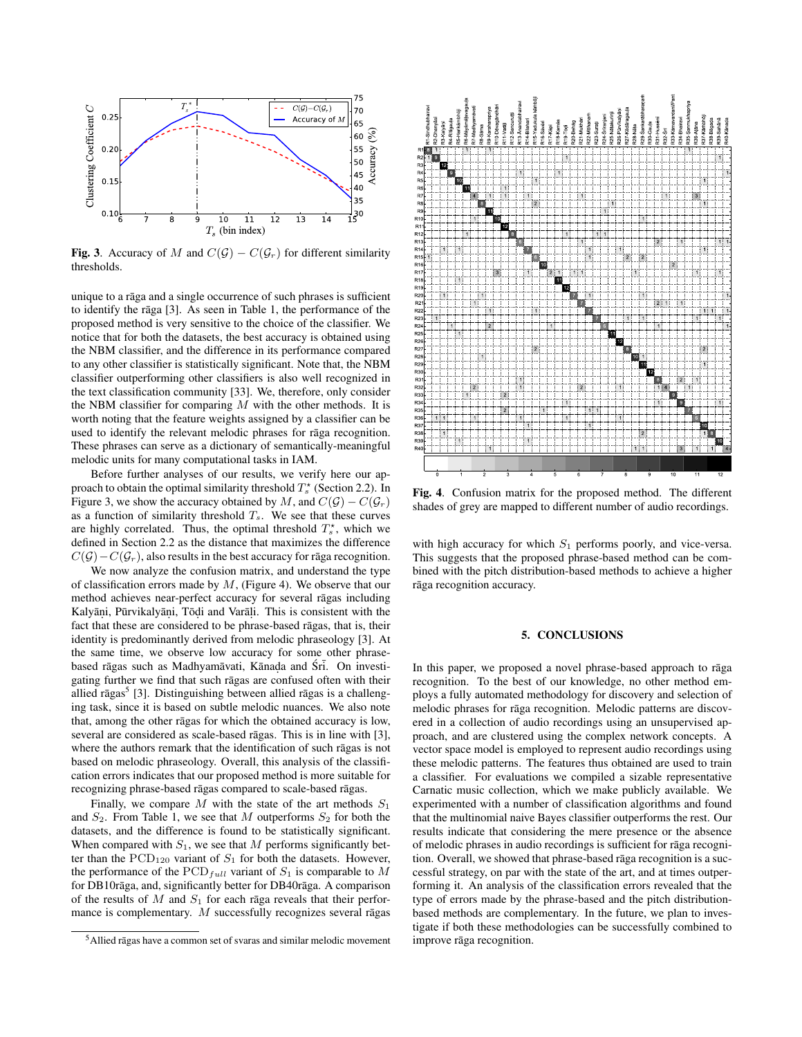

Fig. 3. Accuracy of M and  $C(G) - C(G_r)$  for different similarity thresholds.

unique to a raga and a single occurrence of such phrases is sufficient to identify the rāga  $[3]$ . As seen in Table 1, the performance of the proposed method is very sensitive to the choice of the classifier. We notice that for both the datasets, the best accuracy is obtained using the NBM classifier, and the difference in its performance compared to any other classifier is statistically significant. Note that, the NBM classifier outperforming other classifiers is also well recognized in the text classification community [33]. We, therefore, only consider the NBM classifier for comparing  $M$  with the other methods. It is worth noting that the feature weights assigned by a classifier can be used to identify the relevant melodic phrases for raga recognition. These phrases can serve as a dictionary of semantically-meaningful melodic units for many computational tasks in IAM.

Before further analyses of our results, we verify here our approach to obtain the optimal similarity threshold  $T_s^*$  (Section 2.2). In Figure 3, we show the accuracy obtained by M, and  $C(G) - C(G_r)$ as a function of similarity threshold  $T_s$ . We see that these curves are highly correlated. Thus, the optimal threshold  $T_s^*$ , which we defined in Section 2.2 as the distance that maximizes the difference  $C(\mathcal{G})-C(\mathcal{G}_r)$ , also results in the best accuracy for raga recognition.

We now analyze the confusion matrix, and understand the type of classification errors made by  $M$ , (Figure 4). We observe that our method achieves near-perfect accuracy for several ragas including Kalyāņi, Pūrvikalyāņi, Tōḍi and Varāḷi. This is consistent with the fact that these are considered to be phrase-based ragas, that is, their identity is predominantly derived from melodic phraseology [3]. At the same time, we observe low accuracy for some other phrasebased rāgas such as Madhyamāvati, Kānada and Śrī. On investigating further we find that such ragas are confused often with their allied rāgas<sup>5</sup> [3]. Distinguishing between allied rāgas is a challenging task, since it is based on subtle melodic nuances. We also note that, among the other ragas for which the obtained accuracy is low, several are considered as scale-based ragas. This is in line with [3], where the authors remark that the identification of such rāgas is not based on melodic phraseology. Overall, this analysis of the classification errors indicates that our proposed method is more suitable for recognizing phrase-based rāgas compared to scale-based rāgas.

Finally, we compare M with the state of the art methods  $S_1$ and  $S_2$ . From Table 1, we see that M outperforms  $S_2$  for both the datasets, and the difference is found to be statistically significant. When compared with  $S_1$ , we see that M performs significantly better than the  $PCD_{120}$  variant of  $S_1$  for both the datasets. However, the performance of the PCD<sub>full</sub> variant of  $S_1$  is comparable to M for DB10rāga, and, significantly better for DB40rāga. A comparison of the results of M and  $S_1$  for each raga reveals that their performance is complementary.  $M$  successfully recognizes several ragas



Fig. 4. Confusion matrix for the proposed method. The different shades of grey are mapped to different number of audio recordings.

with high accuracy for which  $S_1$  performs poorly, and vice-versa. This suggests that the proposed phrase-based method can be combined with the pitch distribution-based methods to achieve a higher rāga recognition accuracy.

# 5. CONCLUSIONS

In this paper, we proposed a novel phrase-based approach to raga recognition. To the best of our knowledge, no other method employs a fully automated methodology for discovery and selection of melodic phrases for rāga recognition. Melodic patterns are discovered in a collection of audio recordings using an unsupervised approach, and are clustered using the complex network concepts. A vector space model is employed to represent audio recordings using these melodic patterns. The features thus obtained are used to train a classifier. For evaluations we compiled a sizable representative Carnatic music collection, which we make publicly available. We experimented with a number of classification algorithms and found that the multinomial naive Bayes classifier outperforms the rest. Our results indicate that considering the mere presence or the absence of melodic phrases in audio recordings is sufficient for raga recognition. Overall, we showed that phrase-based raga recognition is a successful strategy, on par with the state of the art, and at times outperforming it. An analysis of the classification errors revealed that the type of errors made by the phrase-based and the pitch distributionbased methods are complementary. In the future, we plan to investigate if both these methodologies can be successfully combined to improve rāga recognition.

<sup>&</sup>lt;sup>5</sup>Allied rāgas have a common set of svaras and similar melodic movement